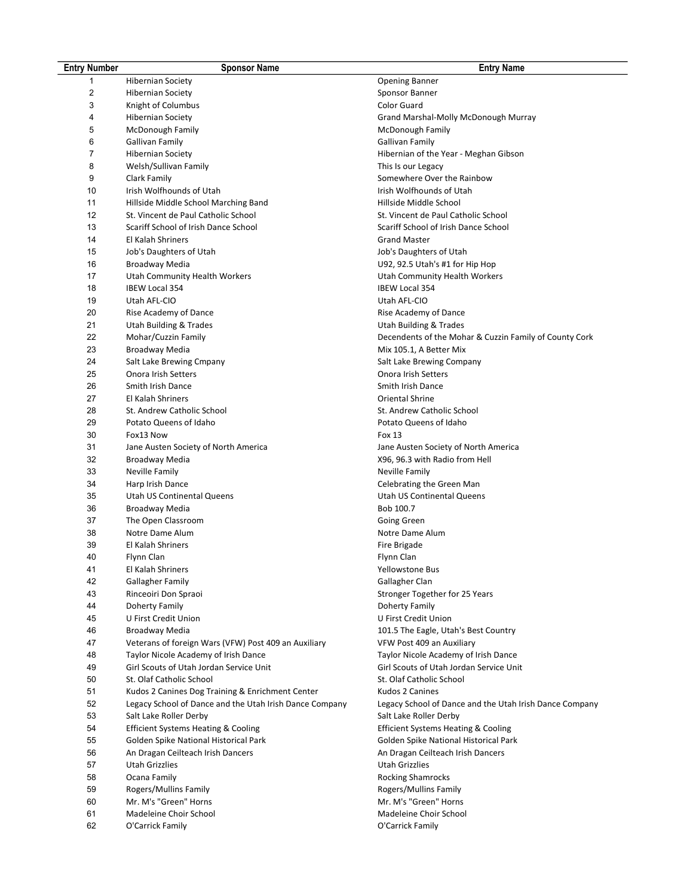| <b>Entry Number</b>     | <b>Sponsor Name</b>                                                         | <b>Entry Name</b>                                                           |
|-------------------------|-----------------------------------------------------------------------------|-----------------------------------------------------------------------------|
|                         | <b>Hibernian Society</b>                                                    | <b>Opening Banner</b>                                                       |
| $\overline{\mathbf{c}}$ | <b>Hibernian Society</b>                                                    | Sponsor Banner                                                              |
| 3                       | Knight of Columbus                                                          | Color Guard                                                                 |
| 4                       | <b>Hibernian Society</b>                                                    | Grand Marshal-Molly McDonough Murray                                        |
| 5                       | McDonough Family                                                            | McDonough Family                                                            |
| 6                       | Gallivan Family                                                             | <b>Gallivan Family</b>                                                      |
| 7                       |                                                                             |                                                                             |
|                         | <b>Hibernian Society</b>                                                    | Hibernian of the Year - Meghan Gibson                                       |
| 8<br>9                  | Welsh/Sullivan Family                                                       | This Is our Legacy<br>Somewhere Over the Rainbow                            |
|                         | Clark Family<br>Irish Wolfhounds of Utah                                    | Irish Wolfhounds of Utah                                                    |
| 10<br>11                |                                                                             | Hillside Middle School                                                      |
| 12                      | Hillside Middle School Marching Band                                        |                                                                             |
| 13                      | St. Vincent de Paul Catholic School<br>Scariff School of Irish Dance School | St. Vincent de Paul Catholic School<br>Scariff School of Irish Dance School |
| 14                      |                                                                             |                                                                             |
|                         | El Kalah Shriners                                                           | <b>Grand Master</b>                                                         |
| 15                      | Job's Daughters of Utah                                                     | Job's Daughters of Utah                                                     |
| 16                      | Broadway Media                                                              | U92, 92.5 Utah's #1 for Hip Hop                                             |
| 17                      | Utah Community Health Workers                                               | Utah Community Health Workers                                               |
| 18                      | <b>IBEW Local 354</b>                                                       | <b>IBEW Local 354</b>                                                       |
| 19                      | Utah AFL-CIO                                                                | Utah AFL-CIO                                                                |
| 20                      | Rise Academy of Dance                                                       | Rise Academy of Dance                                                       |
| 21                      | Utah Building & Trades                                                      | <b>Utah Building &amp; Trades</b>                                           |
| 22                      | Mohar/Cuzzin Family                                                         | Decendents of the Mohar & Cuzzin Family of County Cork                      |
| 23                      | Broadway Media                                                              | Mix 105.1, A Better Mix                                                     |
| 24                      | Salt Lake Brewing Cmpany                                                    | Salt Lake Brewing Company                                                   |
| 25                      | Onora Irish Setters                                                         | Onora Irish Setters                                                         |
| 26                      | Smith Irish Dance                                                           | Smith Irish Dance                                                           |
| 27                      | El Kalah Shriners                                                           | Oriental Shrine                                                             |
| 28                      | St. Andrew Catholic School                                                  | St. Andrew Catholic School                                                  |
| 29                      | Potato Queens of Idaho                                                      | Potato Queens of Idaho                                                      |
| 30                      | Fox13 Now                                                                   | Fox 13                                                                      |
| 31                      | Jane Austen Society of North America                                        | Jane Austen Society of North America                                        |
| 32                      | Broadway Media                                                              | X96, 96.3 with Radio from Hell                                              |
| 33                      | Neville Family                                                              | Neville Family                                                              |
| 34                      | Harp Irish Dance                                                            | Celebrating the Green Man                                                   |
| 35                      | Utah US Continental Queens                                                  | Utah US Continental Queens                                                  |
| 36                      | Broadway Media                                                              | Bob 100.7                                                                   |
| 37                      | The Open Classroom<br>Notre Dame Alum                                       | Going Green<br>Notre Dame Alum                                              |
| 38                      |                                                                             |                                                                             |
| 39                      | El Kalah Shriners                                                           | Fire Brigade                                                                |
| 40<br>41                | Flynn Clan                                                                  | Flynn Clan                                                                  |
|                         | El Kalah Shriners                                                           | Yellowstone Bus                                                             |
| 42<br>43                | Gallagher Family                                                            | Gallagher Clan<br>Stronger Together for 25 Years                            |
| 44                      | Rinceoiri Don Spraoi<br>Doherty Family                                      | Doherty Family                                                              |
| 45                      | U First Credit Union                                                        | U First Credit Union                                                        |
| 46                      | Broadway Media                                                              | 101.5 The Eagle, Utah's Best Country                                        |
| 47                      | Veterans of foreign Wars (VFW) Post 409 an Auxiliary                        | VFW Post 409 an Auxiliary                                                   |
| 48                      | Taylor Nicole Academy of Irish Dance                                        | Taylor Nicole Academy of Irish Dance                                        |
| 49                      | Girl Scouts of Utah Jordan Service Unit                                     | Girl Scouts of Utah Jordan Service Unit                                     |
| 50                      | St. Olaf Catholic School                                                    | St. Olaf Catholic School                                                    |
| 51                      | Kudos 2 Canines Dog Training & Enrichment Center                            | Kudos 2 Canines                                                             |
| 52                      | Legacy School of Dance and the Utah Irish Dance Company                     | Legacy School of Dance and the Utah Irish Dance Company                     |
| 53                      | Salt Lake Roller Derby                                                      | Salt Lake Roller Derby                                                      |
| 54                      | <b>Efficient Systems Heating &amp; Cooling</b>                              | <b>Efficient Systems Heating &amp; Cooling</b>                              |
| 55                      | Golden Spike National Historical Park                                       | Golden Spike National Historical Park                                       |
| 56                      | An Dragan Ceilteach Irish Dancers                                           | An Dragan Ceilteach Irish Dancers                                           |
| 57                      | Utah Grizzlies                                                              | <b>Utah Grizzlies</b>                                                       |
| 58                      | Ocana Family                                                                | <b>Rocking Shamrocks</b>                                                    |
| 59                      | Rogers/Mullins Family                                                       | Rogers/Mullins Family                                                       |
|                         | Mr. M's "Green" Horns                                                       | Mr. M's "Green" Horns                                                       |
| 60<br>61                | Madeleine Choir School                                                      | Madeleine Choir School                                                      |
|                         |                                                                             |                                                                             |
| 62                      | O'Carrick Family                                                            | O'Carrick Family                                                            |